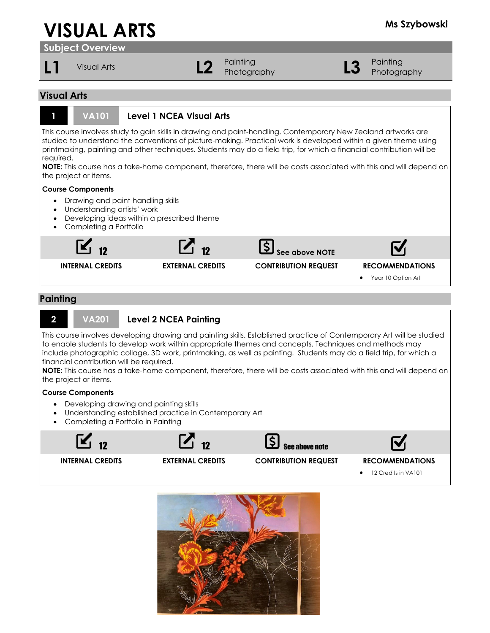# **VISUAL ARTS Ms Szybowski**

**Subject Overview**

**L1** Visual Arts **L2** Painting

Painting<br>Photography **L3** Photography Photography

## **Visual Arts**



## **1 VA101 Level 1 NCEA Visual Arts**

This course involves study to gain skills in drawing and paint-handling. Contemporary New Zealand artworks are studied to understand the conventions of picture-making. Practical work is developed within a given theme using printmaking, painting and other techniques. Students may do a field trip, for which a financial contribution will be required.

**NOTE:** This course has a take-home component, therefore, there will be costs associated with this and will depend on the project or items.

#### **Course Components**

- Drawing and paint-handling skills
- Understanding artists' work
- Developing ideas within a prescribed theme
- Completing a Portfolio



## **Painting**



### **2 VA201 Level 2 NCEA Painting**

This course involves developing drawing and painting skills. Established practice of Contemporary Art will be studied to enable students to develop work within appropriate themes and concepts. Techniques and methods may include photographic collage, 3D work, printmaking, as well as painting. Students may do a field trip, for which a financial contribution will be required.

**NOTE:** This course has a take-home component, therefore, there will be costs associated with this and will depend on the project or items.

#### **Course Components**

- Developing drawing and painting skills
- Understanding established practice in Contemporary Art
- Completing a Portfolio in Painting



• 12 Credits in VA101